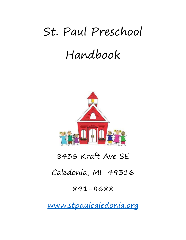# St. Paul Preschool Handbook



# 8436 Kraft Ave SE

# Caledonia, MI 49316

# 891-8688

[www.stpaulcaledonia.org](http://www.stpaulcaledonia.org/)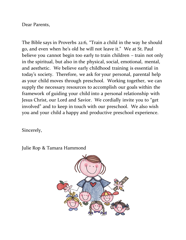Dear Parents,

The Bible says in Proverbs 22:6, "Train a child in the way he should go, and even when he's old he will not leave it." We at St. Paul believe you cannot begin too early to train children – train not only in the spiritual, but also in the physical, social, emotional, mental, and aesthetic. We believe early childhood training is essential in today's society. Therefore, we ask for your personal, parental help as your child moves through preschool. Working together, we can supply the necessary resources to accomplish our goals within the framework of guiding your child into a personal relationship with Jesus Christ, our Lord and Savior. We cordially invite you to "get involved" and to keep in touch with our preschool. We also wish you and your child a happy and productive preschool experience.

Sincerely,

Julie Rop & Tamara Hammond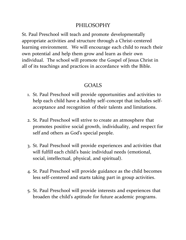#### PHILOSOPHY

St. Paul Preschool will teach and promote developmentally appropriate activities and structure through a Christ-centered learning environment. We will encourage each child to reach their own potential and help them grow and learn as their own individual. The school will promote the Gospel of Jesus Christ in all of its teachings and practices in accordance with the Bible.

### GOALS

- 1. St. Paul Preschool will provide opportunities and activities to help each child have a healthy self-concept that includes selfacceptance and recognition of their talents and limitations.
- 2. St. Paul Preschool will strive to create an atmosphere that promotes positive social growth, individuality, and respect for self and others as God's special people.
- 3. St. Paul Preschool will provide experiences and activities that will fulfill each child's basic individual needs (emotional, social, intellectual, physical, and spiritual).
- 4. St. Paul Preschool will provide guidance as the child becomes less self-centered and starts taking part in group activities.
- 5. St. Paul Preschool will provide interests and experiences that broaden the child's aptitude for future academic programs.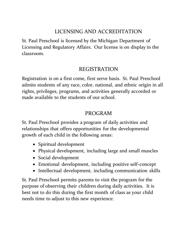# LICENSING AND ACCREDITATION

St. Paul Preschool is licensed by the Michigan Department of Licensing and Regulatory Affairs. Our license is on display in the classroom.

#### REGISTRATION

Registration is on a first come, first serve basis. St. Paul Preschool admits students of any race, color, national, and ethnic origin in all rights, privileges, programs, and activities generally accorded or made available to the students of our school.

#### PROGRAM

St. Paul Preschool provides a program of daily activities and relationships that offers opportunities for the developmental growth of each child in the following areas:

- Spiritual development
- Physical development, including large and small muscles
- Social development
- Emotional development, including positive self-concept
- Intellectual development, including communication skills

St. Paul Preschool permits parents to visit the program for the purpose of observing their children during daily activities. It is best not to do this during the first month of class as your child needs time to adjust to this new experience.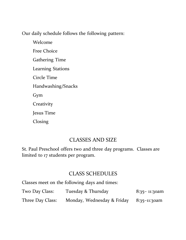Our daily schedule follows the following pattern:

Welcome Free Choice Gathering Time Learning Stations Circle Time Handwashing/Snacks Gym **Creativity** Jesus Time Closing

#### CLASSES AND SIZE

St. Paul Preschool offers two and three day programs. Classes are limited to 17 students per program.

#### CLASS SCHEDULES

Classes meet on the following days and times:

| Two Day Class:   | Tuesday & Thursday                      | $8:35 - 11:30$ am |
|------------------|-----------------------------------------|-------------------|
| Three Day Class: | Monday, Wednesday & Friday 8:35-11:30am |                   |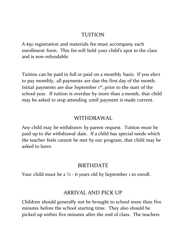#### TUITION

A \$50 registration and materials fee must accompany each enrollment form. This fee will hold your child's spot in the class and is non-refundable.

Tuition can be paid in full or paid on a monthly basis. If you elect to pay monthly, all payments are due the first day of the month. Initial payments are due September 1<sup>st</sup>, prior to the start of the school year. If tuition is overdue by more than a month, that child may be asked to stop attending until payment is made current.

#### WITHDRAWAL

Any child may be withdrawn by parent request. Tuition must be paid up to the withdrawal date. If a child has special needs which the teacher feels cannot be met by our program, that child may be asked to leave.

### BIRTHDATE

Your child must be  $2 \frac{1}{2}$  - 6 years old by September 1 to enroll.

# ARRIVAL AND PICK UP

Children should generally not be brought to school more than five minutes before the school starting time. They also should be picked up within five minutes after the end of class. The teachers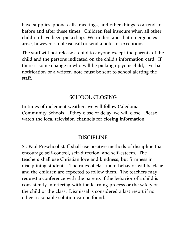have supplies, phone calls, meetings, and other things to attend to before and after these times. Children feel insecure when all other children have been picked up. We understand that emergencies arise, however, so please call or send a note for exceptions.

The staff will not release a child to anyone except the parents of the child and the persons indicated on the child's information card. If there is some change in who will be picking up your child, a verbal notification or a written note must be sent to school alerting the staff.

#### SCHOOL CLOSING

In times of inclement weather, we will follow Caledonia Community Schools. If they close or delay, we will close. Please watch the local television channels for closing information.

### DISCIPLINE

St. Paul Preschool staff shall use positive methods of discipline that encourage self-control, self-direction, and self-esteem. The teachers shall use Christian love and kindness, but firmness in disciplining students. The rules of classroom behavior will be clear and the children are expected to follow them. The teachers may request a conference with the parents if the behavior of a child is consistently interfering with the learning process or the safety of the child or the class. Dismissal is considered a last resort if no other reasonable solution can be found.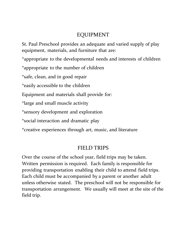#### EQUIPMENT

St. Paul Preschool provides an adequate and varied supply of play equipment, materials, and furniture that are:

\*appropriate to the developmental needs and interests of children

\*appropriate to the number of children

\*safe, clean, and in good repair

\*easily accessible to the children

Equipment and materials shall provide for:

\*large and small muscle activity

\*sensory development and exploration

\*social interaction and dramatic play

\*creative experiences through art, music, and literature

#### FIELD TRIPS

Over the course of the school year, field trips may be taken. Written permission is required. Each family is responsible for providing transportation enabling their child to attend field trips. Each child must be accompanied by a parent or another adult unless otherwise stated. The preschool will not be responsible for transportation arrangement. We usually will meet at the site of the field trip.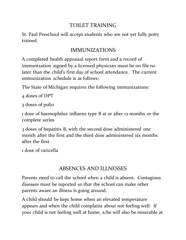## TOILET TRAINING

St. Paul Preschool will accept students who are not yet fully potty trained.

# IMMUNIZATIONS

A completed health appraisal report form and a record of immunization signed by a licensed physician must be on file no later than the child's first day of school attendance. The current immunization schedule is as follows:

The State of Michigan requires the following immunizations:

4 doses of DPT

3 doses of polio

1 dose of haemophilus influenz type B at or after 12 months or the complete series

3 doses of hepatitis B, with the second dose administered one month after the first and the third dose administered six months after the first

1 dose of varicella

# ABSENCES AND ILLNESSES

Parents need to call the school when a child is absent. Contagious diseases must be reported so that the school can make other parents aware an illness is going around.

A child should be kept home when an elevated temperature appears and when the child complains about not feeling well. If your child is not feeling well at home, s/he will also be miserable at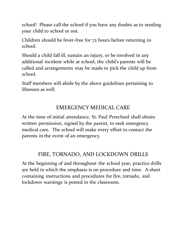school! Please call the school if you have any doubts as to sending your child to school or not.

Children should be fever-free for 72 hours before returning to school.

Should a child fall ill, sustain an injury, or be involved in any additional incident while at school, the child's parents will be called and arrangements may be made to pick the child up from school.

Staff members will abide by the above guidelines pertaining to illnesses as well.

## EMERGENCY MEDICAL CARE

At the time of initial attendance, St. Paul Preschool shall obtain written permission, signed by the parent, to seek emergency medical care. The school will make every effort to contact the parents in the event of an emergency.

### FIRE, TORNADO, AND LOCKDOWN DRILLS

At the beginning of and throughout the school year, practice drills are held in which the emphasis is on procedure and time. A sheet containing instructions and procedures for fire, tornado, and lockdown warnings is posted in the classroom.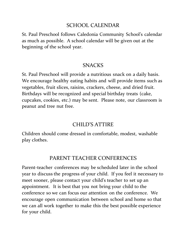#### SCHOOL CALENDAR

St. Paul Preschool follows Caledonia Community School's calendar as much as possible. A school calendar will be given out at the beginning of the school year.

#### **SNACKS**

St. Paul Preschool will provide a nutritious snack on a daily basis. We encourage healthy eating habits and will provide items such as vegetables, fruit slices, raisins, crackers, cheese, and dried fruit. Birthdays will be recognized and special birthday treats (cake, cupcakes, cookies, etc.) may be sent. Please note, our classroom is peanut and tree nut free.

### CHILD'S ATTIRE

Children should come dressed in comfortable, modest, washable play clothes.

### PARENT TEACHER CONFERENCES

Parent-teacher conferences may be scheduled later in the school year to discuss the progress of your child. If you feel it necessary to meet sooner, please contact your child's teacher to set up an appointment. It is best that you not bring your child to the conference so we can focus our attention on the conference. We encourage open communication between school and home so that we can all work together to make this the best possible experience for your child.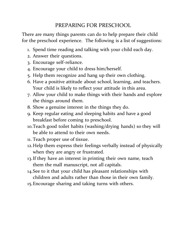# PREPARING FOR PRESCHOOL

There are many things parents can do to help prepare their child for the preschool experience. The following is a list of suggestions:

- 1. Spend time reading and talking with your child each day.
- 2. Answer their questions.
- 3. Encourage self-reliance.
- 4. Encourage your child to dress him/herself.
- 5. Help them recognize and hang up their own clothing.
- 6. Have a positive attitude about school, learning, and teachers. Your child is likely to reflect your attitude in this area.
- 7. Allow your child to make things with their hands and explore the things around them.
- 8. Show a genuine interest in the things they do.
- 9. Keep regular eating and sleeping habits and have a good breakfast before coming to preschool.
- 10.Teach good toilet habits (washing/drying hands) so they will be able to attend to their own needs.
- 11. Teach proper use of tissue.
- 12.Help them express their feelings verbally instead of physically when they are angry or frustrated.
- 13.If they have an interest in printing their own name, teach them the mall manuscript, not all capitals.
- 14.See to it that your child has pleasant relationships with children and adults rather than those in their own family.
- 15.Encourage sharing and taking turns with others.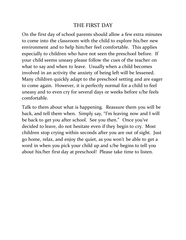#### THE FIRST DAY

On the first day of school parents should allow a few extra minutes to come into the classroom with the child to explore his/her new environment and to help him/her feel comfortable. This applies especially to children who have not seen the preschool before. If your child seems uneasy please follow the cues of the teacher on what to say and when to leave. Usually when a child becomes involved in an activity the anxiety of being left will be lessened. Many children quickly adapt to the preschool setting and are eager to come again. However, it is perfectly normal for a child to feel uneasy and to even cry for several days or weeks before s/he feels comfortable.

Talk to them about what is happening. Reassure them you will be back, and tell them when. Simply say, "I'm leaving now and I will be back to get you after school. See you then." Once you've decided to leave, do not hesitate even if they begin to cry. Most children stop crying within seconds after you are out of sight. Just go home, relax, and enjoy the quiet, as you won't be able to get a word in when you pick your child up and s/he begins to tell you about his/her first day at preschool! Please take time to listen.